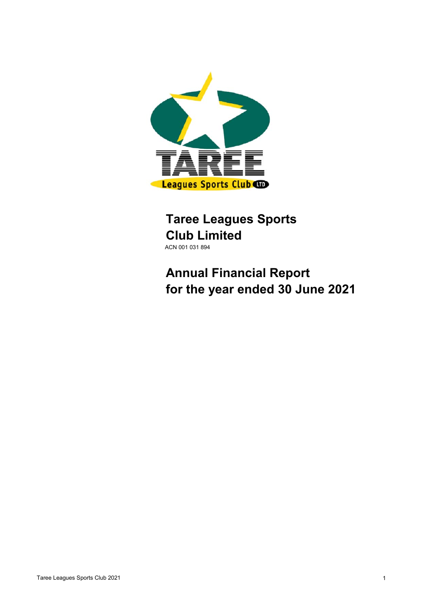

## **Taree Leagues Sports Club Limited** ACN 001 031 894

# **Annual Financial Report for the year ended 30 June 2021**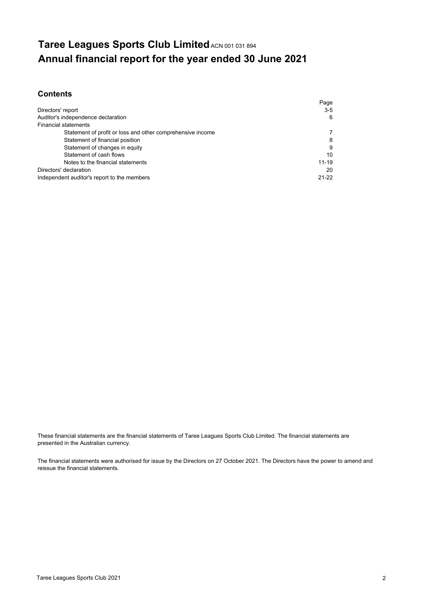## **Taree Leagues Sports Club Limited ACN 001 031 894 Annual financial report for the year ended 30 June 2021**

## **Contents**

|                                                            | Page      |
|------------------------------------------------------------|-----------|
| Directors' report                                          | $3-5$     |
| Auditor's independence declaration                         | 6         |
| <b>Financial statements</b>                                |           |
| Statement of profit or loss and other comprehensive income | 7         |
| Statement of financial position                            | 8         |
| Statement of changes in equity                             | 9         |
| Statement of cash flows                                    | 10        |
| Notes to the financial statements                          | $11 - 19$ |
| Directors' declaration                                     | 20        |
| Independent auditor's report to the members                | $21 - 22$ |

These financial statements are the financial statements of Taree Leagues Sports Club Limited. The financial statements are presented in the Australian currency.

The financial statements were authorised for issue by the Directors on 27 October 2021. The Directors have the power to amend and reissue the financial statements.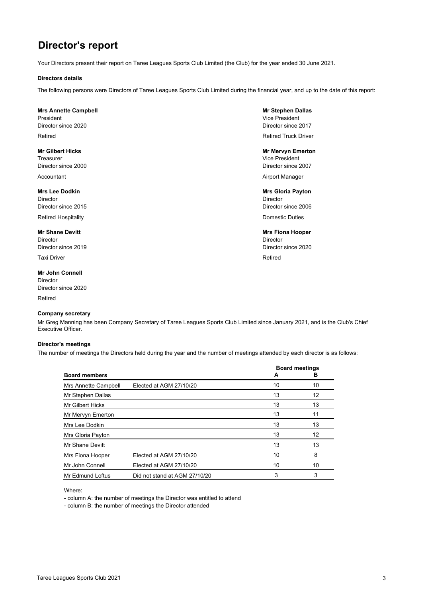## **Director's report**

Your Directors present their report on Taree Leagues Sports Club Limited (the Club) for the year ended 30 June 2021.

#### **Directors details**

The following persons were Directors of Taree Leagues Sports Club Limited during the financial year, and up to the date of this report:

#### **Mrs Annette Campbell Mrs Annette Campbell**

President Vice President Number of the United States of the United States of the United States of the United States of the United States of the United States of the United States of the United States of the United States o Director since 2020 Director since 2017

Treasurer Vice President Director since 2000 Director since 2007

Director Director Director since 2015 Director since 2006 Retired Hospitality **Domestic Duties Retired Hospitality Domestic Duties** 

#### **Mr Shane Devitt** Mrs Fiona Hooper **Mrs Fiona Hooper Mrs Fiona Hooper**

Director Director Director since 2019 Director since 2020

Taxi Driver **Retired** 

**Mr John Connell** Director Director since 2020

Retired

#### **Company secretary**

Mr Greg Manning has been Company Secretary of Taree Leagues Sports Club Limited since January 2021, and is the Club's Chief Executive Officer.

#### **Director's meetings**

The number of meetings the Directors held during the year and the number of meetings attended by each director is as follows:

|                      |                               | <b>Board meetings</b> |    |
|----------------------|-------------------------------|-----------------------|----|
| <b>Board members</b> |                               | A                     | в  |
| Mrs Annette Campbell | Elected at AGM 27/10/20       | 10                    | 10 |
| Mr Stephen Dallas    |                               | 13                    | 12 |
| Mr Gilbert Hicks     |                               | 13                    | 13 |
| Mr Mervyn Emerton    |                               | 13                    | 11 |
| Mrs Lee Dodkin       |                               | 13                    | 13 |
| Mrs Gloria Payton    |                               | 13                    | 12 |
| Mr Shane Devitt      |                               | 13                    | 13 |
| Mrs Fiona Hooper     | Elected at AGM 27/10/20       | 10                    | 8  |
| Mr John Connell      | Elected at AGM 27/10/20       | 10                    | 10 |
| Mr Edmund Loftus     | Did not stand at AGM 27/10/20 | 3                     | 3  |

Where:

- column A: the number of meetings the Director was entitled to attend

- column B: the number of meetings the Director attended

# **Retired Retired Truck Drivers and American** Retired Truck Drivers Retired Truck Driver

**Mr Gilbert Hicks** Mr Mervyn Emerton

Accountant **Airport Manager** Airport Manager

**Mrs Lee Dodkin** Mrs Gloria Payton **Mrs Gloria Payton**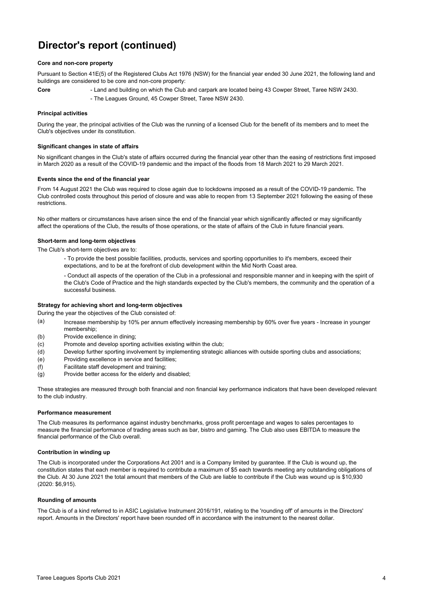## **Director's report (continued)**

#### **Core and non-core property**

Pursuant to Section 41E(5) of the Registered Clubs Act 1976 (NSW) for the financial year ended 30 June 2021, the following land and buildings are considered to be core and non-core property:

- Land and building on which the Club and carpark are located being 43 Cowper Street, Taree NSW 2430.
	- The Leagues Ground, 45 Cowper Street, Taree NSW 2430.

#### **Principal activities**

**Core**

During the year, the principal activities of the Club was the running of a licensed Club for the benefit of its members and to meet the Club's objectives under its constitution.

#### **Significant changes in state of affairs**

No significant changes in the Club's state of affairs occurred during the financial year other than the easing of restrictions first imposed in March 2020 as a result of the COVID-19 pandemic and the impact of the floods from 18 March 2021 to 29 March 2021.

#### **Events since the end of the financial year**

From 14 August 2021 the Club was required to close again due to lockdowns imposed as a result of the COVID-19 pandemic. The Club controlled costs throughout this period of closure and was able to reopen from 13 September 2021 following the easing of these restrictions.

No other matters or circumstances have arisen since the end of the financial year which significantly affected or may significantly affect the operations of the Club, the results of those operations, or the state of affairs of the Club in future financial years.

#### **Short-term and long-term objectives**

The Club's short-term objectives are to:

- To provide the best possible facilities, products, services and sporting opportunities to it's members, exceed their expectations, and to be at the forefront of club development within the Mid North Coast area.

- Conduct all aspects of the operation of the Club in a professional and responsible manner and in keeping with the spirit of the Club's Code of Practice and the high standards expected by the Club's members, the community and the operation of a successful business.

#### **Strategy for achieving short and long-term objectives**

During the year the objectives of the Club consisted of:

- (a) Increase membership by 10% per annum effectively increasing membership by 60% over five years - Increase in younger membership;
- (b) Provide excellence in dining;
- (c) Promote and develop sporting activities existing within the club;
- (d) Develop further sporting involvement by implementing strategic alliances with outside sporting clubs and associations;
- (e) Providing excellence in service and facilities;
- (f) Facilitate staff development and training;
- (g) Provide better access for the elderly and disabled;

These strategies are measured through both financial and non financial key performance indicators that have been developed relevant to the club industry.

#### **Performance measurement**

The Club measures its performance against industry benchmarks, gross profit percentage and wages to sales percentages to measure the financial performance of trading areas such as bar, bistro and gaming. The Club also uses EBITDA to measure the financial performance of the Club overall.

#### **Contribution in winding up**

The Club is incorporated under the Corporations Act 2001 and is a Company limited by guarantee. If the Club is wound up, the constitution states that each member is required to contribute a maximum of \$5 each towards meeting any outstanding obligations of the Club. At 30 June 2021 the total amount that members of the Club are liable to contribute if the Club was wound up is \$10,930 (2020: \$6,915).

#### **Rounding of amounts**

The Club is of a kind referred to in ASIC Legislative Instrument 2016/191, relating to the 'rounding off' of amounts in the Directors' report. Amounts in the Directors' report have been rounded off in accordance with the instrument to the nearest dollar.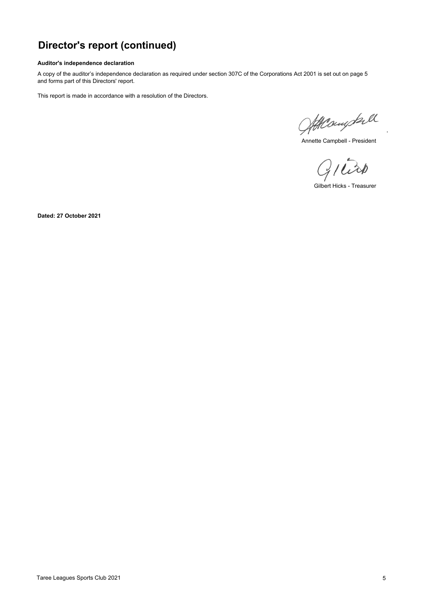## **Director's report (continued)**

#### **Auditor's independence declaration**

A copy of the auditor's independence declaration as required under section 307C of the Corporations Act 2001 is set out on page 5 and forms part of this Directors' report.

This report is made in accordance with a resolution of the Directors.

Atteringtall

Annette Campbell - President

 $G/$  $\tilde{\omega}$ 

Gilbert Hicks - Treasurer

**Dated: 27 October 2021**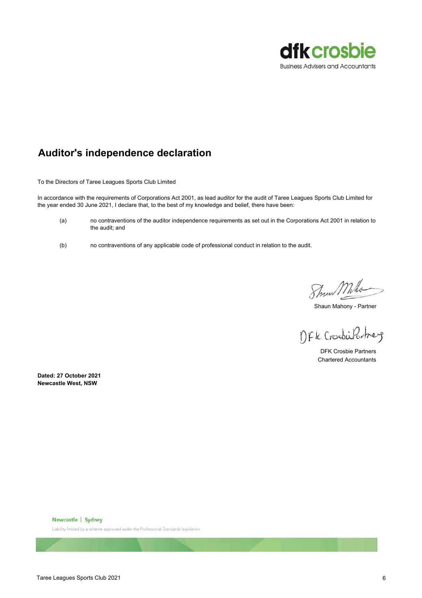

## **Auditor's independence declaration**

To the Directors of Taree Leagues Sports Club Limited

In accordance with the requirements of Corporations Act 2001, as lead auditor for the audit of Taree Leagues Sports Club Limited for the year ended 30 June 2021, I declare that, to the best of my knowledge and belief, there have been:

- (a) no contraventions of the auditor independence requirements as set out in the Corporations Act 2001 in relation to the audit; and
- (b) no contraventions of any applicable code of professional conduct in relation to the audit.

Show Mho

Shaun Mahony - Partner

DFK CrosbisPartner

Chartered Accountants DFK Crosbie Partners

**Newcastle West, NSW Dated: 27 October 2021**

Newcastle Sydney

Liability limited by a scheme approved under the Professional Standards legislation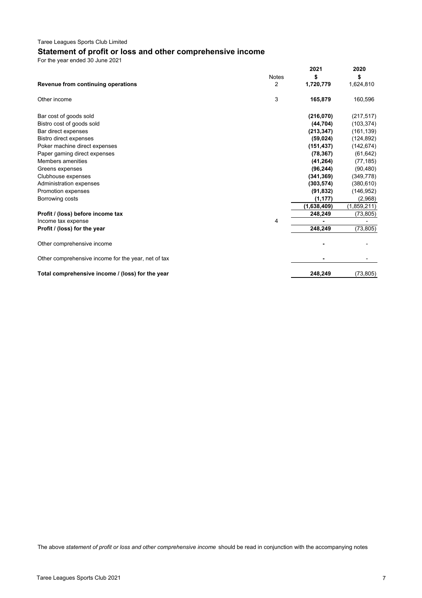## **Statement of profit or loss and other comprehensive income**

For the year ended 30 June 2021

|                                                     | <b>Notes</b> | 2021<br>\$  | 2020<br>\$  |
|-----------------------------------------------------|--------------|-------------|-------------|
| Revenue from continuing operations                  | 2            | 1,720,779   | 1,624,810   |
| Other income                                        | 3            | 165,879     | 160,596     |
| Bar cost of goods sold                              |              | (216,070)   | (217, 517)  |
| Bistro cost of goods sold                           |              | (44, 704)   | (103, 374)  |
| Bar direct expenses                                 |              | (213, 347)  | (161, 139)  |
| <b>Bistro direct expenses</b>                       |              | (59, 024)   | (124, 892)  |
| Poker machine direct expenses                       |              | (151, 437)  | (142, 674)  |
| Paper gaming direct expenses                        |              | (78, 367)   | (61, 642)   |
| Members amenities                                   |              | (41, 264)   | (77, 185)   |
| Greens expenses                                     |              | (96, 244)   | (90, 480)   |
| Clubhouse expenses                                  |              | (341, 369)  | (349, 778)  |
| Administration expenses                             |              | (303, 574)  | (380, 610)  |
| Promotion expenses                                  |              | (91, 832)   | (146, 952)  |
| Borrowing costs                                     |              | (1, 177)    | (2,968)     |
|                                                     |              | (1,638,409) | (1,859,211) |
| Profit / (loss) before income tax                   |              | 248,249     | (73, 805)   |
| Income tax expense                                  | 4            |             |             |
| Profit / (loss) for the year                        |              | 248,249     | (73, 805)   |
| Other comprehensive income                          |              |             |             |
| Other comprehensive income for the year, net of tax |              |             |             |
| Total comprehensive income / (loss) for the year    |              | 248.249     | (73, 805)   |

The above *statement of profit or loss and other comprehensive income* should be read in conjunction with the accompanying notes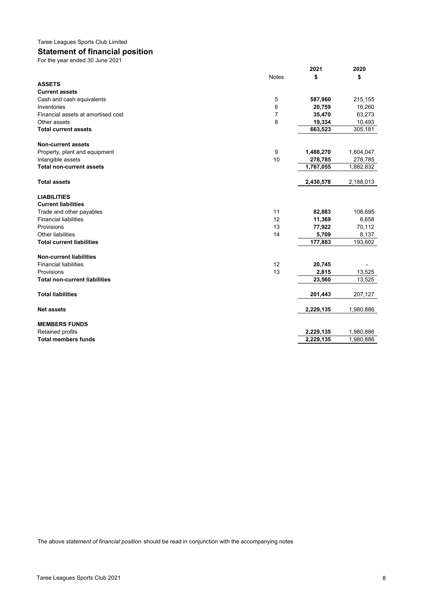## **Statement of financial position**

For the year ended 30 June 2021

|                                      |              | 2021      | 2020      |
|--------------------------------------|--------------|-----------|-----------|
|                                      | <b>Notes</b> | \$        | \$        |
| <b>ASSETS</b>                        |              |           |           |
| <b>Current assets</b>                |              |           |           |
| Cash and cash equivalents            | 5            | 587,960   | 215,155   |
| Inventories                          | 6            | 20,759    | 16,260    |
| Financial assets at amortised cost   | 7            | 35,470    | 63,273    |
| Other assets                         | 8            | 19,334    | 10,493    |
| <b>Total current assets</b>          |              | 663,523   | 305,181   |
|                                      |              |           |           |
| <b>Non-current assets</b>            |              |           |           |
| Property, plant and equipment        | 9            | 1,488,270 | 1,604,047 |
| Intangible assets                    | 10           | 278,785   | 278,785   |
| <b>Total non-current assets</b>      |              | 1,767,055 | 1,882,832 |
|                                      |              |           |           |
| <b>Total assets</b>                  |              | 2,430,578 | 2,188,013 |
| <b>LIABILITIES</b>                   |              |           |           |
| <b>Current liabilities</b>           |              |           |           |
| Trade and other payables             | 11           | 82,883    | 108,695   |
| <b>Financial liabilities</b>         | 12           | 11,369    | 6,658     |
| Provisions                           | 13           | 77,922    | 70,112    |
| Other liabilities                    | 14           | 5,709     | 8,137     |
| <b>Total current liabilities</b>     |              | 177,883   | 193,602   |
|                                      |              |           |           |
| <b>Non-current liabilities</b>       |              |           |           |
| <b>Financial liabilities</b>         | 12           | 20,745    |           |
| Provisions                           | 13           | 2,815     | 13,525    |
| <b>Total non-current liabilities</b> |              | 23,560    | 13,525    |
|                                      |              |           |           |
| <b>Total liabilities</b>             |              | 201,443   | 207,127   |
|                                      |              |           |           |
| <b>Net assets</b>                    |              | 2,229,135 | 1,980,886 |
| <b>MEMBERS FUNDS</b>                 |              |           |           |
| Retained profits                     |              | 2,229,135 | 1,980,886 |
| <b>Total members funds</b>           |              | 2,229,135 | 1,980,886 |
|                                      |              |           |           |

The above *statement of financial position* should be read in conjunction with the accompanying notes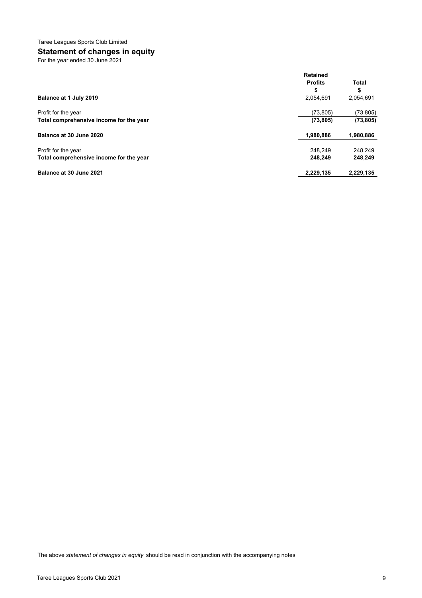## **Statement of changes in equity**

For the year ended 30 June 2021

|                                         | <b>Retained</b><br><b>Profits</b> | <b>Total</b> |
|-----------------------------------------|-----------------------------------|--------------|
|                                         | ъ                                 | \$           |
| Balance at 1 July 2019                  | 2,054,691                         | 2,054,691    |
| Profit for the year                     | (73, 805)                         | (73, 805)    |
| Total comprehensive income for the year | (73, 805)                         | (73, 805)    |
| Balance at 30 June 2020                 | 1,980,886                         | 1,980,886    |
| Profit for the year                     | 248,249                           | 248,249      |
| Total comprehensive income for the year | 248.249                           | 248,249      |
| Balance at 30 June 2021                 | 2,229,135                         | 2,229,135    |

The above *statement of changes in equity* should be read in conjunction with the accompanying notes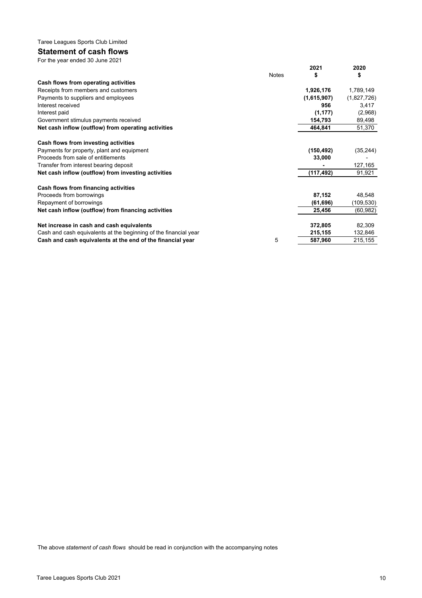#### **Statement of cash flows** For the year ended 30 June 2021

|                                                                  |              | 2021        | 2020        |
|------------------------------------------------------------------|--------------|-------------|-------------|
|                                                                  | <b>Notes</b> | \$          | \$          |
| Cash flows from operating activities                             |              |             |             |
| Receipts from members and customers                              |              | 1,926,176   | 1,789,149   |
| Payments to suppliers and employees                              |              | (1,615,907) | (1,827,726) |
| Interest received                                                |              | 956         | 3,417       |
| Interest paid                                                    |              | (1, 177)    | (2,968)     |
| Government stimulus payments received                            |              | 154,793     | 89,498      |
| Net cash inflow (outflow) from operating activities              |              | 464,841     | 51,370      |
| Cash flows from investing activities                             |              |             |             |
| Payments for property, plant and equipment                       |              | (150, 492)  | (35, 244)   |
| Proceeds from sale of entitlements                               |              | 33,000      |             |
| Transfer from interest bearing deposit                           |              |             | 127,165     |
| Net cash inflow (outflow) from investing activities              |              | (117,492)   | 91,921      |
| Cash flows from financing activities                             |              |             |             |
| Proceeds from borrowings                                         |              | 87,152      | 48,548      |
| Repayment of borrowings                                          |              | (61, 696)   | (109,530)   |
| Net cash inflow (outflow) from financing activities              |              | 25,456      | (60, 982)   |
| Net increase in cash and cash equivalents                        |              | 372,805     | 82,309      |
| Cash and cash equivalents at the beginning of the financial year |              | 215,155     | 132,846     |
| Cash and cash equivalents at the end of the financial year       | 5            | 587,960     | 215,155     |
|                                                                  |              |             |             |

The above *statement of cash flows* should be read in conjunction with the accompanying notes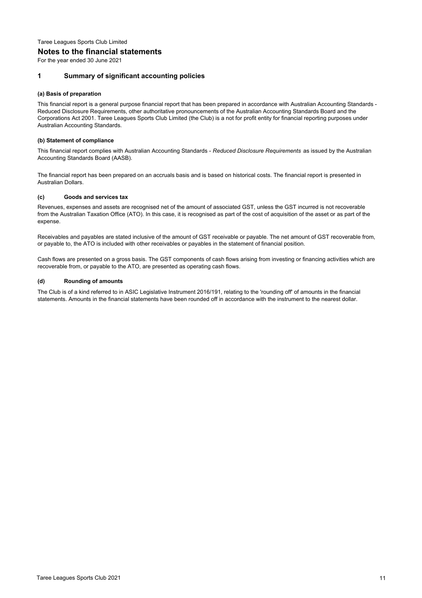#### **Notes to the financial statements**

For the year ended 30 June 2021

#### **1 Summary of significant accounting policies**

#### **(a) Basis of preparation**

This financial report is a general purpose financial report that has been prepared in accordance with Australian Accounting Standards - Reduced Disclosure Requirements, other authoritative pronouncements of the Australian Accounting Standards Board and the Corporations Act 2001. Taree Leagues Sports Club Limited (the Club) is a not for profit entity for financial reporting purposes under Australian Accounting Standards.

#### **(b) Statement of compliance**

This financial report complies with Australian Accounting Standards - *Reduced Disclosure Requirements* as issued by the Australian Accounting Standards Board (AASB).

The financial report has been prepared on an accruals basis and is based on historical costs. The financial report is presented in Australian Dollars.

#### **(c) Goods and services tax**

Revenues, expenses and assets are recognised net of the amount of associated GST, unless the GST incurred is not recoverable from the Australian Taxation Office (ATO). In this case, it is recognised as part of the cost of acquisition of the asset or as part of the expense.

Receivables and payables are stated inclusive of the amount of GST receivable or payable. The net amount of GST recoverable from, or payable to, the ATO is included with other receivables or payables in the statement of financial position.

Cash flows are presented on a gross basis. The GST components of cash flows arising from investing or financing activities which are recoverable from, or payable to the ATO, are presented as operating cash flows.

#### **(d) Rounding of amounts**

The Club is of a kind referred to in ASIC Legislative Instrument 2016/191, relating to the 'rounding off' of amounts in the financial statements. Amounts in the financial statements have been rounded off in accordance with the instrument to the nearest dollar.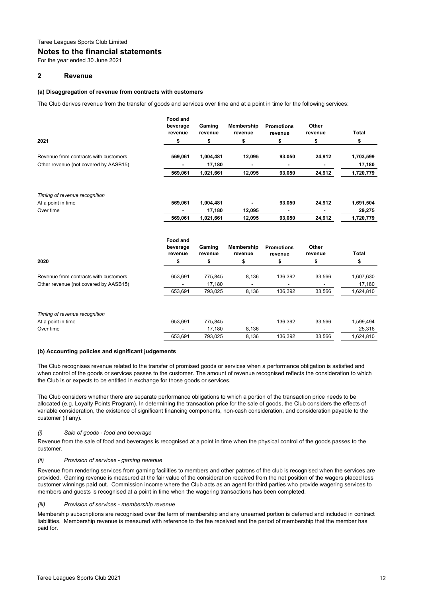#### **Notes to the financial statements**

For the year ended 30 June 2021

#### **2 Revenue**

#### **(a) Disaggregation of revenue from contracts with customers**

The Club derives revenue from the transfer of goods and services over time and at a point in time for the following services:

|                                       | Food and<br>beverage<br>revenue | Gaming<br>revenue | Membership<br>revenue | <b>Promotions</b><br>revenue | Other<br>revenue | <b>Total</b> |
|---------------------------------------|---------------------------------|-------------------|-----------------------|------------------------------|------------------|--------------|
| 2021                                  | \$                              | \$                | \$                    | \$                           | \$               | \$           |
| Revenue from contracts with customers | 569,061                         | 1,004,481         | 12,095                | 93,050                       | 24,912           | 1,703,599    |
| Other revenue (not covered by AASB15) |                                 | 17,180            |                       |                              |                  | 17,180       |
|                                       | 569,061                         | 1,021,661         | 12,095                | 93,050                       | 24,912           | 1,720,779    |
| Timing of revenue recognition         |                                 |                   |                       |                              |                  |              |
| At a point in time                    | 569,061                         | 1,004,481         |                       | 93,050                       | 24,912           | 1,691,504    |
| Over time                             |                                 | 17,180            | 12,095                |                              |                  | 29,275       |
|                                       | 569,061                         | 1,021,661         | 12,095                | 93,050                       | 24,912           | 1,720,779    |
|                                       | Food and<br>beverage            | Gaming            | Membership            | <b>Promotions</b>            | Other            |              |
|                                       | revenue                         | revenue           | revenue               | revenue                      | revenue          | Total        |
| 2020                                  | \$                              | \$                | \$                    | \$                           | \$               | \$           |
| Revenue from contracts with customers | 653,691                         | 775,845           | 8,136                 | 136,392                      | 33,566           | 1,607,630    |
| Other revenue (not covered by AASB15) |                                 | 17,180            | ÷,                    |                              |                  | 17,180       |
|                                       | 653,691                         | 793,025           | 8,136                 | 136,392                      | 33,566           | 1,624,810    |
| Timing of revenue recognition         |                                 |                   |                       |                              |                  |              |
| At a point in time                    | 653,691                         | 775,845           |                       | 136,392                      | 33,566           | 1,599,494    |
| Over time                             |                                 | 17,180            | 8,136                 |                              |                  | 25,316       |
|                                       | 653,691                         | 793,025           | 8,136                 | 136,392                      | 33,566           | 1,624,810    |

#### **(b) Accounting policies and significant judgements**

The Club recognises revenue related to the transfer of promised goods or services when a performance obligation is satisfied and when control of the goods or services passes to the customer. The amount of revenue recognised reflects the consideration to which the Club is or expects to be entitled in exchange for those goods or services.

The Club considers whether there are separate performance obligations to which a portion of the transaction price needs to be allocated (e.g. Loyalty Points Program). In determining the transaction price for the sale of goods, the Club considers the effects of variable consideration, the existence of significant financing components, non-cash consideration, and consideration payable to the customer (if any).

#### *(i) Sale of goods - food and beverage*

Revenue from the sale of food and beverages is recognised at a point in time when the physical control of the goods passes to the customer.

#### *(ii) Provision of services - gaming revenue*

Revenue from rendering services from gaming facilities to members and other patrons of the club is recognised when the services are provided. Gaming revenue is measured at the fair value of the consideration received from the net position of the wagers placed less customer winnings paid out. Commission income where the Club acts as an agent for third parties who provide wagering services to members and guests is recognised at a point in time when the wagering transactions has been completed.

#### *(iii) Provision of services - membership revenue*

Membership subscriptions are recognised over the term of membership and any unearned portion is deferred and included in contract liabilities. Membership revenue is measured with reference to the fee received and the period of membership that the member has paid for.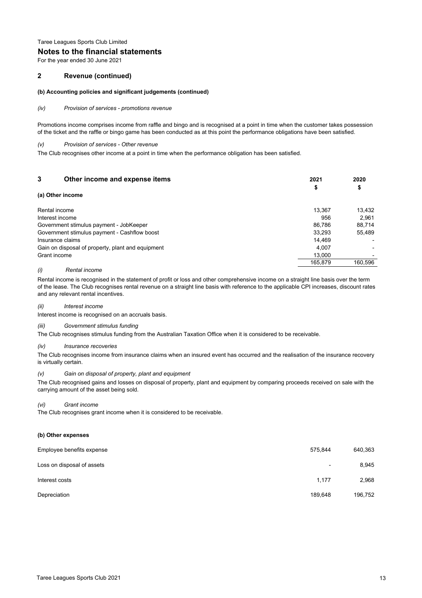#### **Notes to the financial statements**

For the year ended 30 June 2021

#### **2 Revenue (continued)**

#### **(b) Accounting policies and significant judgements (continued)**

*(iv) Provision of services - promotions revenue*

Promotions income comprises income from raffle and bingo and is recognised at a point in time when the customer takes possession of the ticket and the raffle or bingo game has been conducted as at this point the performance obligations have been satisfied.

#### *(v) Provision of services - Other revenue*

The Club recognises other income at a point in time when the performance obligation has been satisfied.

| 3                                       | Other income and expense items                    | 2021    | 2020    |
|-----------------------------------------|---------------------------------------------------|---------|---------|
| (a) Other income                        |                                                   | Φ       | \$      |
| Rental income                           |                                                   | 13.367  | 13,432  |
| Interest income                         |                                                   | 956     | 2.961   |
| Government stimulus payment - JobKeeper |                                                   | 86.786  | 88,714  |
|                                         | Government stimulus payment - Cashflow boost      | 33.293  | 55,489  |
| Insurance claims                        |                                                   | 14.469  |         |
|                                         | Gain on disposal of property, plant and equipment | 4.007   |         |
| Grant income                            |                                                   | 13.000  |         |
|                                         |                                                   | 165.879 | 160.596 |

#### *(i) Rental income*

Rental income is recognised in the statement of profit or loss and other comprehensive income on a straight line basis over the term of the lease. The Club recognises rental revenue on a straight line basis with reference to the applicable CPI increases, discount rates and any relevant rental incentives.

#### *(ii) Interest income*

Interest income is recognised on an accruals basis.

#### *(iii) Government stimulus funding*

The Club recognises stimulus funding from the Australian Taxation Office when it is considered to be receivable.

#### *(iv) Insurance recoveries*

The Club recognises income from insurance claims when an insured event has occurred and the realisation of the insurance recovery is virtually certain.

#### *(v) Gain on disposal of property, plant and equipment*

The Club recognised gains and losses on disposal of property, plant and equipment by comparing proceeds received on sale with the carrying amount of the asset being sold.

#### *(vi) Grant income*

The Club recognises grant income when it is considered to be receivable.

#### **(b) Other expenses**

| Employee benefits expense  | 575.844                  | 640,363 |
|----------------------------|--------------------------|---------|
| Loss on disposal of assets | $\overline{\phantom{a}}$ | 8,945   |
| Interest costs             | 1,177                    | 2,968   |
| Depreciation               | 189.648                  | 196,752 |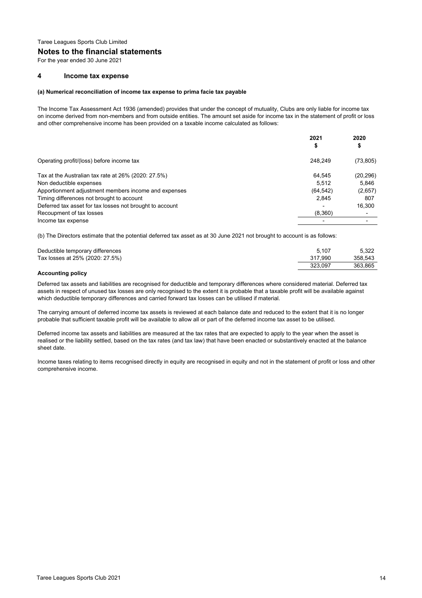#### **Notes to the financial statements**

For the year ended 30 June 2021

#### **4 Income tax expense**

#### **(a) Numerical reconciliation of income tax expense to prima facie tax payable**

The Income Tax Assessment Act 1936 (amended) provides that under the concept of mutuality, Clubs are only liable for income tax on income derived from non-members and from outside entities. The amount set aside for income tax in the statement of profit or loss and other comprehensive income has been provided on a taxable income calculated as follows:

|                                                          | 2021<br>Φ | 2020<br>\$ |
|----------------------------------------------------------|-----------|------------|
| Operating profit/(loss) before income tax                | 248.249   | (73, 805)  |
| Tax at the Australian tax rate at $26\%$ (2020: 27.5%)   | 64.545    | (20, 296)  |
| Non deductible expenses                                  | 5.512     | 5.846      |
| Apportionment adjustment members income and expenses     | (64, 542) | (2,657)    |
| Timing differences not brought to account                | 2,845     | 807        |
| Deferred tax asset for tax losses not brought to account |           | 16,300     |
| Recoupment of tax losses                                 | (8,360)   |            |
| Income tax expense                                       |           |            |
|                                                          |           |            |

(b) The Directors estimate that the potential deferred tax asset as at 30 June 2021 not brought to account is as follows:

| Deductible temporary differences | 5.107   | 5.322   |
|----------------------------------|---------|---------|
| Tax losses at 25% (2020: 27.5%)  | 317.990 | 358.543 |
|                                  | 323.097 | 363.865 |
| $-1$<br>$\sim$ $\sim$            |         |         |

#### **Accounting policy**

Deferred tax assets and liabilities are recognised for deductible and temporary differences where considered material. Deferred tax assets in respect of unused tax losses are only recognised to the extent it is probable that a taxable profit will be available against which deductible temporary differences and carried forward tax losses can be utilised if material.

The carrying amount of deferred income tax assets is reviewed at each balance date and reduced to the extent that it is no longer probable that sufficient taxable profit will be available to allow all or part of the deferred income tax asset to be utilised.

Deferred income tax assets and liabilities are measured at the tax rates that are expected to apply to the year when the asset is realised or the liability settled, based on the tax rates (and tax law) that have been enacted or substantively enacted at the balance sheet date.

Income taxes relating to items recognised directly in equity are recognised in equity and not in the statement of profit or loss and other comprehensive income.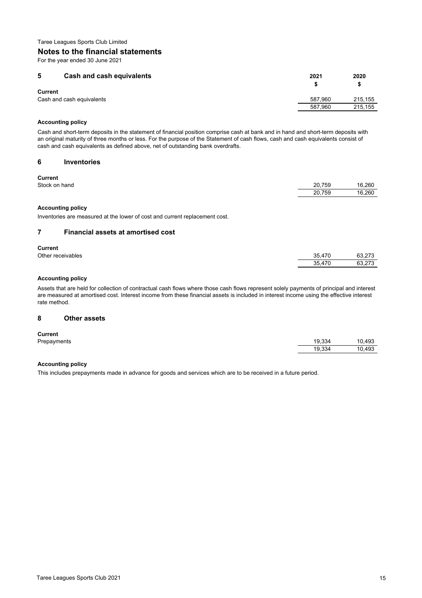#### **Notes to the financial statements**

For the year ended 30 June 2021

| 5<br>Cash and cash equivalents              | 2021    | 2020    |
|---------------------------------------------|---------|---------|
| <b>Current</b><br>Cash and cash equivalents | 587.960 | 215.155 |
|                                             | 587.960 | 215.155 |

#### **Accounting policy**

Cash and short-term deposits in the statement of financial position comprise cash at bank and in hand and short-term deposits with an original maturity of three months or less. For the purpose of the Statement of cash flows, cash and cash equivalents consist of cash and cash equivalents as defined above, net of outstanding bank overdrafts.

#### **6 Inventories**

| .             |        |        |
|---------------|--------|--------|
| Stock on hand | 20.759 | 16.260 |
|               | 20.759 | 16.260 |
|               |        |        |

#### **Accounting policy**

Inventories are measured at the lower of cost and current replacement cost.

#### **7 Financial assets at amortised cost**

#### **Current**

| Other receivables | 35.47<br>.17C | 63.772<br>63.273 |
|-------------------|---------------|------------------|
|                   | 35.<br>17C    | 00.070<br>63.273 |

#### **Accounting policy**

Assets that are held for collection of contractual cash flows where those cash flows represent solely payments of principal and interest are measured at amortised cost. Interest income from these financial assets is included in interest income using the effective interest rate method.

#### **8 Other assets**

#### **Current**

| -------     |        |        |
|-------------|--------|--------|
| Prepayments | 19.334 | 10,493 |
|             | 19.334 | 10,493 |

#### **Accounting policy**

This includes prepayments made in advance for goods and services which are to be received in a future period.

10.493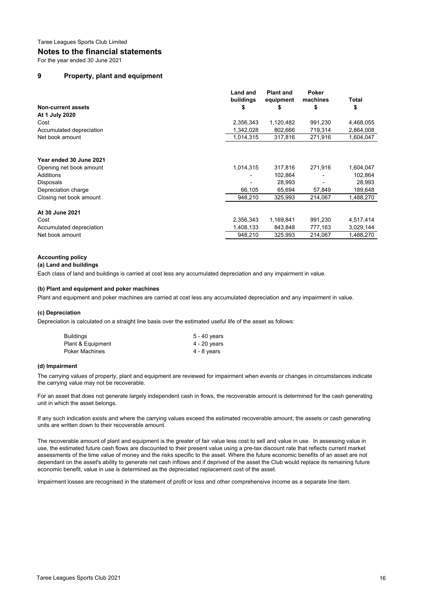#### **Notes to the financial statements**

For the year ended 30 June 2021

#### **9 Property, plant and equipment**

|                           | <b>Land and</b><br>buildings | <b>Plant and</b><br>equipment | Poker<br>machines | Total     |
|---------------------------|------------------------------|-------------------------------|-------------------|-----------|
| <b>Non-current assets</b> |                              |                               | \$                | \$        |
| At 1 July 2020            |                              |                               |                   |           |
| Cost                      | 2,356,343                    | 1,120,482                     | 991,230           | 4,468,055 |
| Accumulated depreciation  | 1,342,028                    | 802,666                       | 719,314           | 2,864,008 |
| Net book amount           | 1,014,315                    | 317,816                       | 271,916           | 1,604,047 |
|                           |                              |                               |                   |           |
| Year ended 30 June 2021   |                              |                               |                   |           |
| Opening net book amount   | 1,014,315                    | 317,816                       | 271,916           | 1,604,047 |
| Additions                 |                              | 102,864                       |                   | 102,864   |
| Disposals                 |                              | 28,993                        |                   | 28,993    |
| Depreciation charge       | 66,105                       | 65.694                        | 57,849            | 189,648   |
| Closing net book amount   | 948,210                      | 325,993                       | 214,067           | 1,488,270 |
| At 30 June 2021           |                              |                               |                   |           |
| Cost                      | 2,356,343                    | 1,169,841                     | 991,230           | 4,517,414 |
| Accumulated depreciation  | 1,408,133                    | 843,848                       | 777,163           | 3,029,144 |
| Net book amount           | 948.210                      | 325,993                       | 214,067           | 1.488.270 |

#### **Accounting policy**

#### **(a) Land and buildings**

Each class of land and buildings is carried at cost less any accumulated depreciation and any impairment in value.

#### **(b) Plant and equipment and poker machines**

Plant and equipment and poker machines are carried at cost less any accumulated depreciation and any impairment in value.

#### **(c) Depreciation**

Depreciation is calculated on a straight line basis over the estimated useful life of the asset as follows:

| Buildings         | 5 - 40 years |
|-------------------|--------------|
| Plant & Equipment | 4 - 20 years |
| Poker Machines    | 4 - 8 years  |

#### **(d) Impairment**

The carrying values of property, plant and equipment are reviewed for impairment when events or changes in circumstances indicate the carrying value may not be recoverable.

For an asset that does not generate largely independent cash in flows, the recoverable amount is determined for the cash generating unit in which the asset belongs.

If any such indication exists and where the carrying values exceed the estimated recoverable amount, the assets or cash generating units are written down to their recoverable amount.

The recoverable amount of plant and equipment is the greater of fair value less cost to sell and value in use. In assessing value in use, the estimated future cash flows are discounted to their present value using a pre-tax discount rate that reflects current market assessments of the time value of money and the risks specific to the asset. Where the future economic benefits of an asset are not dependant on the asset's ability to generate net cash inflows and if deprived of the asset the Club would replace its remaining future economic benefit, value in use is determined as the depreciated replacement cost of the asset.

Impairment losses are recognised in the statement of profit or loss and other comprehensive income as a separate line item.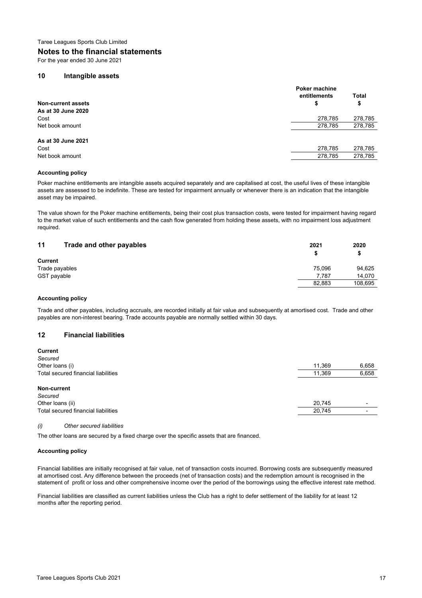#### **Notes to the financial statements**

For the year ended 30 June 2021

#### **10 Intangible assets**

|                           | <b>Poker machine</b> |         |
|---------------------------|----------------------|---------|
|                           | entitlements         | Total   |
| <b>Non-current assets</b> | \$                   | \$      |
| As at 30 June 2020        |                      |         |
| Cost                      | 278,785              | 278,785 |
| Net book amount           | 278,785              | 278,785 |
| As at 30 June 2021        |                      |         |
| Cost                      | 278,785              | 278,785 |
| Net book amount           | 278,785              | 278,785 |
|                           |                      |         |

#### **Accounting policy**

Poker machine entitlements are intangible assets acquired separately and are capitalised at cost, the useful lives of these intangible assets are assessed to be indefinite. These are tested for impairment annually or whenever there is an indication that the intangible asset may be impaired.

The value shown for the Poker machine entitlements, being their cost plus transaction costs, were tested for impairment having regard to the market value of such entitlements and the cash flow generated from holding these assets, with no impairment loss adjustment required.

| 11<br>Trade and other payables | 2021   | 2020    |
|--------------------------------|--------|---------|
|                                |        |         |
| <b>Current</b>                 |        |         |
| Trade payables                 | 75.096 | 94.625  |
| GST payable                    | 7.787  | 14.070  |
|                                | 82,883 | 108.695 |

#### **Accounting policy**

Trade and other payables, including accruals, are recorded initially at fair value and subsequently at amortised cost. Trade and other payables are non-interest bearing. Trade accounts payable are normally settled within 30 days.

#### **12 Financial liabilities**

| <b>Current</b>                      |        |       |
|-------------------------------------|--------|-------|
| Secured                             |        |       |
| Other loans (i)                     | 11,369 | 6,658 |
| Total secured financial liabilities | 11,369 | 6,658 |
| Non-current                         |        |       |
| Secured                             |        |       |
| Other loans (ii)                    | 20,745 | -     |
| Total secured financial liabilities | 20,745 | -     |
|                                     |        |       |

#### *(i) Other secured liabilities*

The other loans are secured by a fixed charge over the specific assets that are financed.

#### **Accounting policy**

Financial liabilities are initially recognised at fair value, net of transaction costs incurred. Borrowing costs are subsequently measured at amortised cost. Any difference between the proceeds (net of transaction costs) and the redemption amount is recognised in the statement of profit or loss and other comprehensive income over the period of the borrowings using the effective interest rate method.

Financial liabilities are classified as current liabilities unless the Club has a right to defer settlement of the liability for at least 12 months after the reporting period.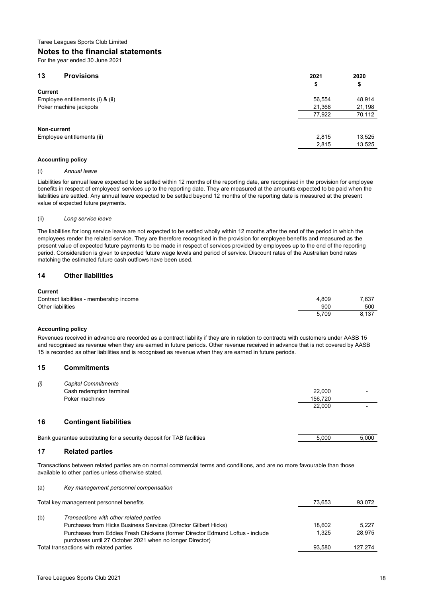#### **Notes to the financial statements**

For the year ended 30 June 2021

| 13<br><b>Provisions</b>          | 2021   | 2020   |
|----------------------------------|--------|--------|
| <b>Current</b>                   | \$     | \$     |
|                                  |        |        |
| Employee entitlements (i) & (ii) | 56,554 | 48,914 |
| Poker machine jackpots           | 21,368 | 21,198 |
|                                  | 77,922 | 70,112 |
| Non-current                      |        |        |
|                                  |        |        |
| Employee entitlements (ii)       | 2,815  | 13,525 |
|                                  | 2,815  | 13,525 |
|                                  |        |        |

#### **Accounting policy**

#### (i) *Annual leave*

Liabilities for annual leave expected to be settled within 12 months of the reporting date, are recognised in the provision for employee benefits in respect of employees' services up to the reporting date. They are measured at the amounts expected to be paid when the liabilities are settled. Any annual leave expected to be settled beyond 12 months of the reporting date is measured at the present value of expected future payments.

#### (ii) *Long service leave*

The liabilities for long service leave are not expected to be settled wholly within 12 months after the end of the period in which the employees render the related service. They are therefore recognised in the provision for employee benefits and measured as the present value of expected future payments to be made in respect of services provided by employees up to the end of the reporting period. Consideration is given to expected future wage levels and period of service. Discount rates of the Australian bond rates matching the estimated future cash outflows have been used.

#### **14 Other liabilities**

#### **Current**

| ---------                                |       |       |
|------------------------------------------|-------|-------|
| Contract liabilities - membership income | 4.809 | 7.637 |
| Other liabilities                        | 900   | 500   |
|                                          | 5.709 | 8.137 |
|                                          |       |       |

#### **Accounting policy**

Revenues received in advance are recorded as a contract liability if they are in relation to contracts with customers under AASB 15 and recognised as revenue when they are earned in future periods. Other revenue received in advance that is not covered by AASB 15 is recorded as other liabilities and is recognised as revenue when they are earned in future periods.

#### **15 Commitments**

| (i) | <b>Capital Commitments</b> |         |   |
|-----|----------------------------|---------|---|
|     | Cash redemption terminal   | 22,000  |   |
|     | Poker machines             | 156.720 |   |
|     |                            | 22,000  | - |
|     |                            |         |   |

#### **16 Contingent liabilities**

Bank guarantee substituting for a security deposit for TAB facilities 5,000 5,000 5,000 5,000

(a) *Key management personnel compensation*

#### **17 Related parties**

Transactions between related parties are on normal commercial terms and conditions, and are no more favourable than those available to other parties unless otherwise stated.

| Total key management personnel benefits<br>73.653                                                                                                  | 93,072  |
|----------------------------------------------------------------------------------------------------------------------------------------------------|---------|
|                                                                                                                                                    |         |
| (b)<br>Transactions with other related parties                                                                                                     |         |
| Purchases from Hicks Business Services (Director Gilbert Hicks)<br>18.602                                                                          | 5.227   |
| 1.325<br>Purchases from Eddies Fresh Chickens (former Director Edmund Loftus - include<br>purchases until 27 October 2021 when no longer Director) | 28.975  |
| Total transactions with related parties<br>93.580                                                                                                  | 127,274 |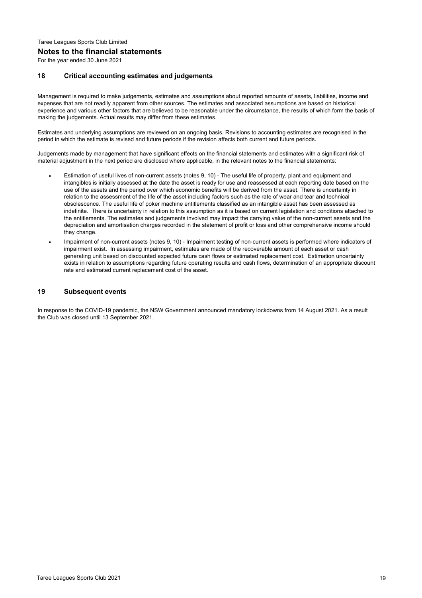## Taree Leagues Sports Club Limited **Notes to the financial statements**

For the year ended 30 June 2021

#### **18 Critical accounting estimates and judgements**

Management is required to make judgements, estimates and assumptions about reported amounts of assets, liabilities, income and expenses that are not readily apparent from other sources. The estimates and associated assumptions are based on historical experience and various other factors that are believed to be reasonable under the circumstance, the results of which form the basis of making the judgements. Actual results may differ from these estimates.

Estimates and underlying assumptions are reviewed on an ongoing basis. Revisions to accounting estimates are recognised in the period in which the estimate is revised and future periods if the revision affects both current and future periods.

Judgements made by management that have significant effects on the financial statements and estimates with a significant risk of material adjustment in the next period are disclosed where applicable, in the relevant notes to the financial statements:

- Estimation of useful lives of non-current assets (notes 9, 10) - The useful life of property, plant and equipment and intangibles is initially assessed at the date the asset is ready for use and reassessed at each reporting date based on the use of the assets and the period over which economic benefits will be derived from the asset. There is uncertainty in relation to the assessment of the life of the asset including factors such as the rate of wear and tear and technical obsolescence. The useful life of poker machine entitlements classified as an intangible asset has been assessed as indefinite. There is uncertainty in relation to this assumption as it is based on current legislation and conditions attached to the entitlements. The estimates and judgements involved may impact the carrying value of the non-current assets and the depreciation and amortisation charges recorded in the statement of profit or loss and other comprehensive income should they change.
- Impairment of non-current assets (notes 9, 10) - Impairment testing of non-current assets is performed where indicators of impairment exist. In assessing impairment, estimates are made of the recoverable amount of each asset or cash generating unit based on discounted expected future cash flows or estimated replacement cost. Estimation uncertainty exists in relation to assumptions regarding future operating results and cash flows, determination of an appropriate discount rate and estimated current replacement cost of the asset.

#### **19 Subsequent events**

In response to the COVID-19 pandemic, the NSW Government announced mandatory lockdowns from 14 August 2021. As a result the Club was closed until 13 September 2021.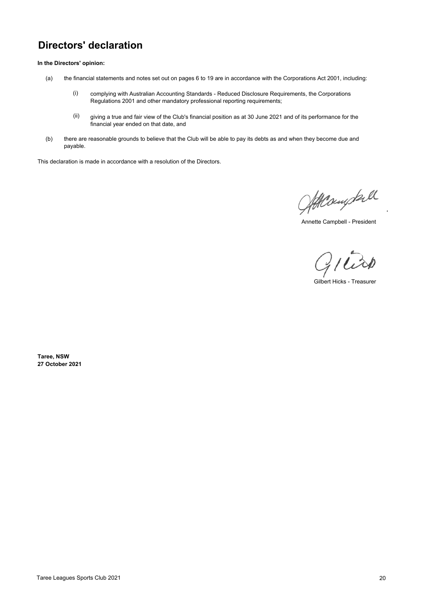## **Directors' declaration**

**In the Directors' opinion:**

- (a) the financial statements and notes set out on pages 6 to 19 are in accordance with the Corporations Act 2001, including:
	- (i) complying with Australian Accounting Standards - Reduced Disclosure Requirements, the Corporations Regulations 2001 and other mandatory professional reporting requirements;
	- (ii) giving a true and fair view of the Club's financial position as at 30 June 2021 and of its performance for the financial year ended on that date, and
- (b) there are reasonable grounds to believe that the Club will be able to pay its debts as and when they become due and payable.

This declaration is made in accordance with a resolution of the Directors.

Atteringtall

Annette Campbell - President

 $21$ 

Gilbert Hicks - Treasurer

**Taree, NSW 27 October 2021**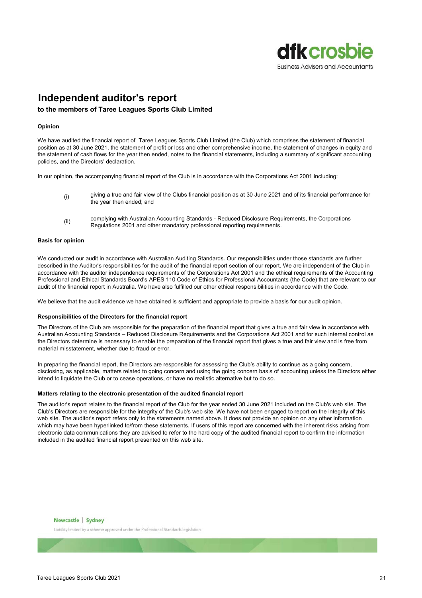

## **Independent auditor's report**

#### **to the members of Taree Leagues Sports Club Limited**

#### **Opinion**

We have audited the financial report of Taree Leagues Sports Club Limited (the Club) which comprises the statement of financial position as at 30 June 2021, the statement of profit or loss and other comprehensive income, the statement of changes in equity and the statement of cash flows for the year then ended, notes to the financial statements, including a summary of significant accounting policies, and the Directors' declaration.

In our opinion, the accompanying financial report of the Club is in accordance with the Corporations Act 2001 including:

- (i) giving a true and fair view of the Clubs financial position as at 30 June 2021 and of its financial performance for the year then ended; and
- (ii) complying with Australian Accounting Standards - Reduced Disclosure Requirements, the Corporations Regulations 2001 and other mandatory professional reporting requirements.

#### **Basis for opinion**

We conducted our audit in accordance with Australian Auditing Standards. Our responsibilities under those standards are further described in the Auditor's responsibilities for the audit of the financial report section of our report. We are independent of the Club in accordance with the auditor independence requirements of the Corporations Act 2001 and the ethical requirements of the Accounting Professional and Ethical Standards Board's APES 110 Code of Ethics for Professional Accountants (the Code) that are relevant to our audit of the financial report in Australia. We have also fulfilled our other ethical responsibilities in accordance with the Code.

We believe that the audit evidence we have obtained is sufficient and appropriate to provide a basis for our audit opinion.

#### **Responsibilities of the Directors for the financial report**

The Directors of the Club are responsible for the preparation of the financial report that gives a true and fair view in accordance with Australian Accounting Standards – Reduced Disclosure Requirements and the Corporations Act 2001 and for such internal control as the Directors determine is necessary to enable the preparation of the financial report that gives a true and fair view and is free from material misstatement, whether due to fraud or error.

In preparing the financial report, the Directors are responsible for assessing the Club's ability to continue as a going concern, disclosing, as applicable, matters related to going concern and using the going concern basis of accounting unless the Directors either intend to liquidate the Club or to cease operations, or have no realistic alternative but to do so.

#### **Matters relating to the electronic presentation of the audited financial report**

The auditor's report relates to the financial report of the Club for the year ended 30 June 2021 included on the Club's web site. The Club's Directors are responsible for the integrity of the Club's web site. We have not been engaged to report on the integrity of this web site. The auditor's report refers only to the statements named above. It does not provide an opinion on any other information which may have been hyperlinked to/from these statements. If users of this report are concerned with the inherent risks arising from electronic data communications they are advised to refer to the hard copy of the audited financial report to confirm the information included in the audited financial report presented on this web site.



Liability limited by a scheme approved under the Professional Standards legislation